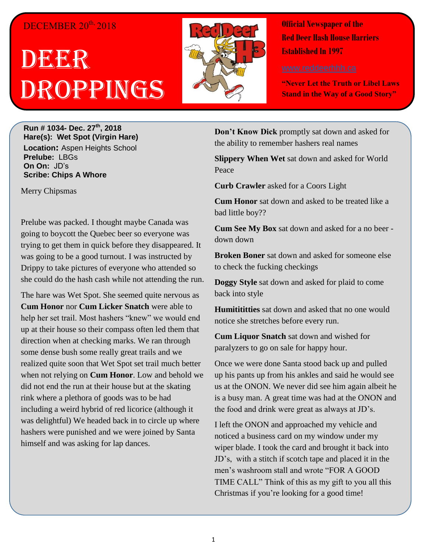## DECEMBER 20<sup>th,</sup> 2018

## DBGER Droppings



**Official Newspaper of the Red Deer Hash House Harriers Established In 1997** 

**"Never Let the Truth or Libel Laws Stand in the Way of a Good Story"**

**Run # 1034- Dec. 27th, 2018 Hare(s): Wet Spot (Virgin Hare) Location:** Aspen Heights School **Prelube:** LBGs **On On:** JD's **Scribe: Chips A Whore**

Merry Chipsmas

Prelube was packed. I thought maybe Canada was going to boycott the Quebec beer so everyone was trying to get them in quick before they disappeared. It was going to be a good turnout. I was instructed by Drippy to take pictures of everyone who attended so she could do the hash cash while not attending the run.

The hare was Wet Spot. She seemed quite nervous as **Cum Honor** nor **Cum Licker Snatch** were able to help her set trail. Most hashers "knew" we would end up at their house so their compass often led them that direction when at checking marks. We ran through some dense bush some really great trails and we realized quite soon that Wet Spot set trail much better when not relying on **Cum Honor**. Low and behold we did not end the run at their house but at the skating rink where a plethora of goods was to be had including a weird hybrid of red licorice (although it was delightful) We headed back in to circle up where hashers were punished and we were joined by Santa himself and was asking for lap dances.

**Don't Know Dick** promptly sat down and asked for the ability to remember hashers real names

**Slippery When Wet** sat down and asked for World Peace

**Curb Crawler** asked for a Coors Light

**Cum Honor** sat down and asked to be treated like a bad little boy??

**Cum See My Box** sat down and asked for a no beer down down

**Broken Boner** sat down and asked for someone else to check the fucking checkings

**Doggy Style** sat down and asked for plaid to come back into style

**Humitititties** sat down and asked that no one would notice she stretches before every run.

**Cum Liquor Snatch** sat down and wished for paralyzers to go on sale for happy hour.

Once we were done Santa stood back up and pulled up his pants up from his ankles and said he would see us at the ONON. We never did see him again albeit he is a busy man. A great time was had at the ONON and the food and drink were great as always at JD's.

I left the ONON and approached my vehicle and noticed a business card on my window under my wiper blade. I took the card and brought it back into JD's, with a stitch if scotch tape and placed it in the men's washroom stall and wrote "FOR A GOOD TIME CALL" Think of this as my gift to you all this Christmas if you're looking for a good time!